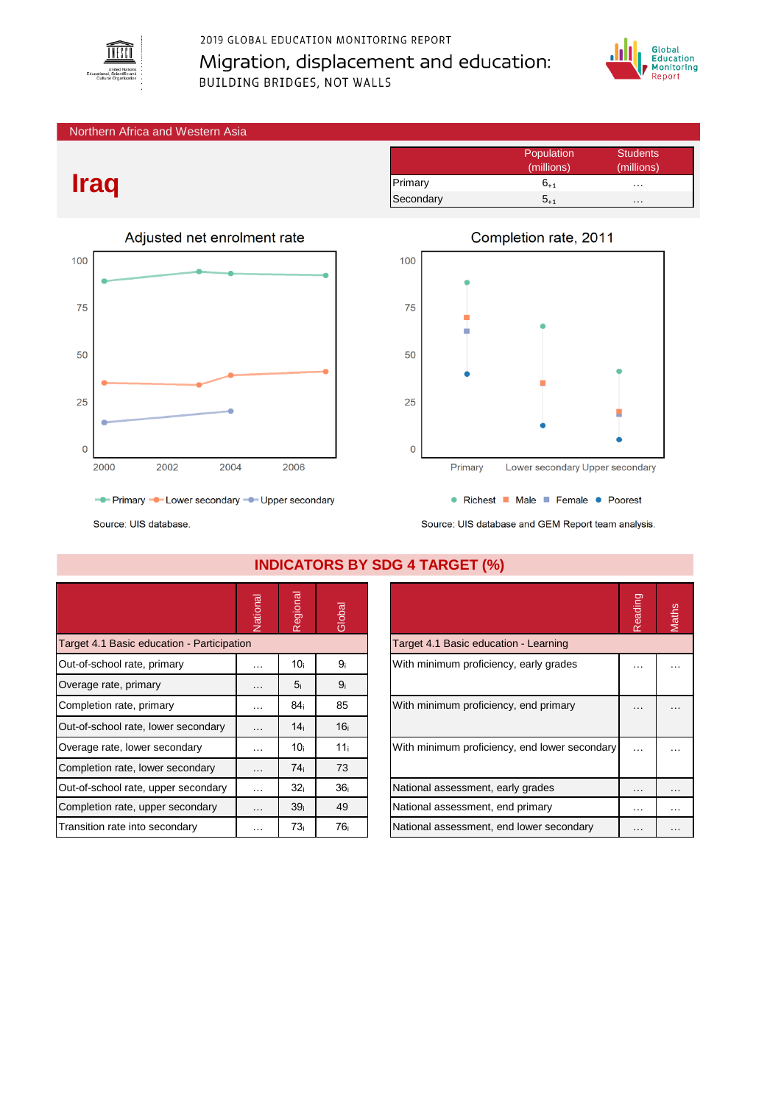

## 2019 GLOBAL EDUCATION MONITORING REPORT Migration, displacement and education: BUILDING BRIDGES, NOT WALLS



#### Northern Africa and Western Asia

# **Iraq**



|           | Population<br>(millions) | <b>Students</b><br>(millions) |
|-----------|--------------------------|-------------------------------|
| Primary   | 6 <sub>+1</sub>          | $\cdots$                      |
| Secondary | $5_{\color{red}+1}$      | .                             |



Source: UIS database and GEM Report team analysis.

Source: UIS database.

|                                            | Vational             | Regional        | Global          |                                               | Reading   | Maths |
|--------------------------------------------|----------------------|-----------------|-----------------|-----------------------------------------------|-----------|-------|
| Target 4.1 Basic education - Participation |                      |                 |                 | Target 4.1 Basic education - Learning         |           |       |
| Out-of-school rate, primary                | $\cdots$             | 10 <sub>i</sub> | 9 <sub>i</sub>  | With minimum proficiency, early grades        | $\ddotsc$ |       |
| Overage rate, primary                      | $\cdots$             | 5 <sub>i</sub>  | 9 <sub>i</sub>  |                                               |           |       |
| Completion rate, primary                   | $\sim$ $\sim$ $\sim$ | 84i             | 85              | With minimum proficiency, end primary         | $\cdots$  |       |
| Out-of-school rate, lower secondary        | $\cdots$             | 14 <sub>i</sub> | 16 <sub>i</sub> |                                               |           |       |
| Overage rate, lower secondary              | $\cdots$             | 10 <sub>i</sub> | 11 <sub>i</sub> | With minimum proficiency, end lower secondary | $\cdots$  |       |
| Completion rate, lower secondary           | $\cdots$             | 74 <sub>i</sub> | 73              |                                               |           |       |
| Out-of-school rate, upper secondary        | $\sim$ $\sim$ $\sim$ | 32 <sub>i</sub> | 36 <sub>i</sub> | National assessment, early grades             | $\cdots$  | .     |
| Completion rate, upper secondary           | $\cdots$             | 39 <sub>i</sub> | 49              | National assessment, end primary              | $\cdots$  |       |
| Transition rate into secondary             | $\cdots$             | 73 <sub>i</sub> | 76 <sub>i</sub> | National assessment, end lower secondary      | $\cdots$  |       |

### **INDICATORS BY SDG 4 TARGET (%)**

|                                               | Reading |  |
|-----------------------------------------------|---------|--|
| Target 4.1 Basic education - Learning         |         |  |
| With minimum proficiency, early grades        |         |  |
| With minimum proficiency, end primary         |         |  |
| With minimum proficiency, end lower secondary |         |  |
| National assessment, early grades             |         |  |
| National assessment, end primary              |         |  |
| National assessment, end lower secondary      |         |  |